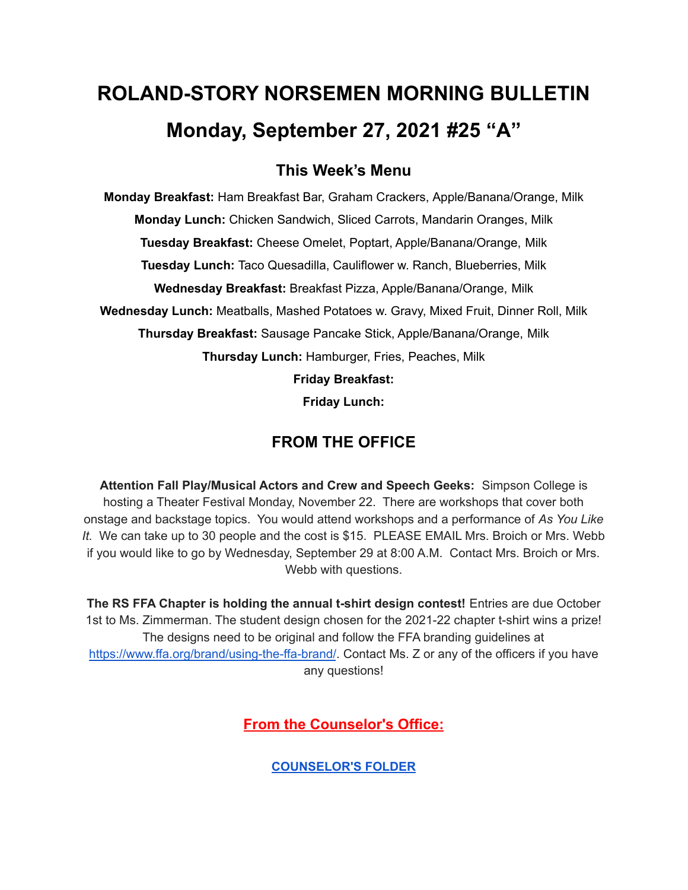# **ROLAND-STORY NORSEMEN MORNING BULLETIN Monday, September 27, 2021 #25 "A"**

## **This Week's Menu**

**Monday Breakfast:** Ham Breakfast Bar, Graham Crackers, Apple/Banana/Orange, Milk **Monday Lunch:** Chicken Sandwich, Sliced Carrots, Mandarin Oranges, Milk **Tuesday Breakfast:** Cheese Omelet, Poptart, Apple/Banana/Orange, Milk **Tuesday Lunch:** Taco Quesadilla, Cauliflower w. Ranch, Blueberries, Milk **Wednesday Breakfast:** Breakfast Pizza, Apple/Banana/Orange, Milk **Wednesday Lunch:** Meatballs, Mashed Potatoes w. Gravy, Mixed Fruit, Dinner Roll, Milk **Thursday Breakfast:** Sausage Pancake Stick, Apple/Banana/Orange, Milk **Thursday Lunch:** Hamburger, Fries, Peaches, Milk **Friday Breakfast:**

**Friday Lunch:**

# **FROM THE OFFICE**

**Attention Fall Play/Musical Actors and Crew and Speech Geeks:** Simpson College is hosting a Theater Festival Monday, November 22. There are workshops that cover both onstage and backstage topics. You would attend workshops and a performance of *As You Like It.* We can take up to 30 people and the cost is \$15. PLEASE EMAIL Mrs. Broich or Mrs. Webb if you would like to go by Wednesday, September 29 at 8:00 A.M. Contact Mrs. Broich or Mrs. Webb with questions.

**The RS FFA Chapter is holding the annual t-shirt design contest!** Entries are due October 1st to Ms. Zimmerman. The student design chosen for the 2021-22 chapter t-shirt wins a prize! The designs need to be original and follow the FFA branding guidelines at <https://www.ffa.org/brand/using-the-ffa-brand/>. Contact Ms. Z or any of the officers if you have any questions!

**From the Counselor's Office:**

**[COUNSELOR'S](https://docs.google.com/document/d/1vmwczNPbDzXe9vFaG5LJMQ7NYDv-i4oQJHybqA65TUc/edit?usp=sharing) FOLDER**